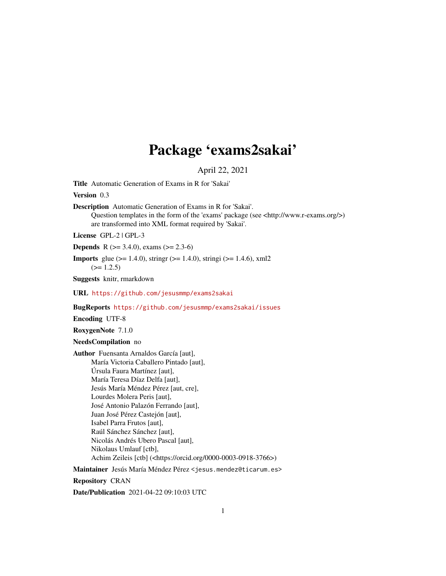## Package 'exams2sakai'

April 22, 2021

<span id="page-0-0"></span>Title Automatic Generation of Exams in R for 'Sakai'

Version 0.3

Description Automatic Generation of Exams in R for 'Sakai'. Question templates in the form of the 'exams' package (see <http://www.r-exams.org/>) are transformed into XML format required by 'Sakai'.

License GPL-2 | GPL-3

**Depends** R ( $>= 3.4.0$ ), exams ( $>= 2.3-6$ )

**Imports** glue ( $> = 1.4.0$ ), stringr ( $> = 1.4.0$ ), stringi ( $> = 1.4.6$ ), xml2  $(>= 1.2.5)$ 

Suggests knitr, rmarkdown

URL <https://github.com/jesusmmp/exams2sakai>

BugReports <https://github.com/jesusmmp/exams2sakai/issues>

Encoding UTF-8

RoxygenNote 7.1.0

NeedsCompilation no

Author Fuensanta Arnaldos García [aut], María Victoria Caballero Pintado [aut], Úrsula Faura Martínez [aut], María Teresa Díaz Delfa [aut], Jesús María Méndez Pérez [aut, cre], Lourdes Molera Peris [aut], José Antonio Palazón Ferrando [aut], Juan José Pérez Castejón [aut], Isabel Parra Frutos [aut], Raúl Sánchez Sánchez [aut], Nicolás Andrés Ubero Pascal [aut], Nikolaus Umlauf [ctb], Achim Zeileis [ctb] (<https://orcid.org/0000-0003-0918-3766>)

Maintainer Jesús María Méndez Pérez <jesus.mendez@ticarum.es>

Repository CRAN

Date/Publication 2021-04-22 09:10:03 UTC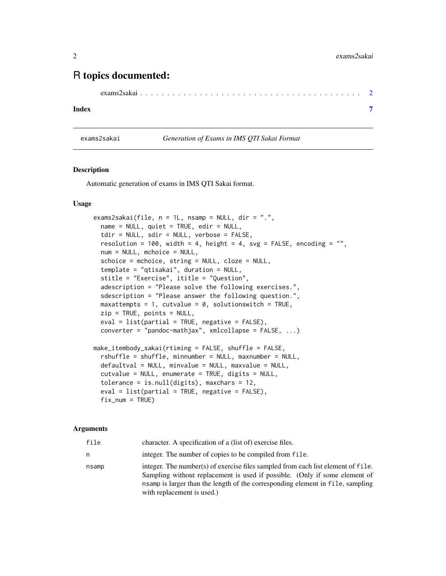### <span id="page-1-0"></span>R topics documented:

```
exams2sakai . . . . . . . . . . . . . . . . . . . . . . . . . . . . . . . . . . . . . . . . . 2
```
#### **Index** [7](#page-6-0)

#### exams2sakai *Generation of Exams in IMS QTI Sakai Format*

#### Description

Automatic generation of exams in IMS QTI Sakai format.

#### Usage

```
exams2sakai(file, n = 1L, nsamp = NULL, dir = ".",
 name = NULL, quite = TRUE, edit = NULL,
 tdir = NULL, sdir = NULL, verbose = FALSE,
 resolution = 100, width = 4, height = 4, svg = FALSE, encoding = ",
 num = NULL, mchoice = NULL,
  schoice = mchoice, string = NULL, cloze = NULL,
  template = "qtisakai", duration = NULL,
 stitle = "Exercise", ititle = "Question",
 adescription = "Please solve the following exercises.",
  sdescription = "Please answer the following question.",
 maxattempts = 1, cutvalue = 0, solutionswitch = TRUE,
 zip = TRUE, points = NULL,eval = list(partial = TRUE, negative = FALSE),converter = "pandoc-mathjax", xmlcollapse = FALSE, ...)
make_itembody_sakai(rtiming = FALSE, shuffle = FALSE,
  rshuffle = shuffle, minnumber = NULL, maxnumber = NULL,
 defaultval = NULL, minvalue = NULL, maxvalue = NULL,
 cutvalue = NULL, enumerate = TRUE, digits = NULL,
  tolerance = is.null(digits), maxchars = 12,
 eval = list(partial = TRUE, negative = FALSE),fix\_num = TRUE)
```
#### **Arguments**

| file  | character. A specification of a (list of) exercise files.                                                                                                                                                                                                                      |
|-------|--------------------------------------------------------------------------------------------------------------------------------------------------------------------------------------------------------------------------------------------------------------------------------|
| n     | integer. The number of copies to be compiled from file.                                                                                                                                                                                                                        |
| nsamp | integer. The number(s) of exercise files sampled from each list element of file.<br>Sampling without replacement is used if possible. (Only if some element of<br>nsamp is larger than the length of the corresponding element in file, sampling<br>with replacement is used.) |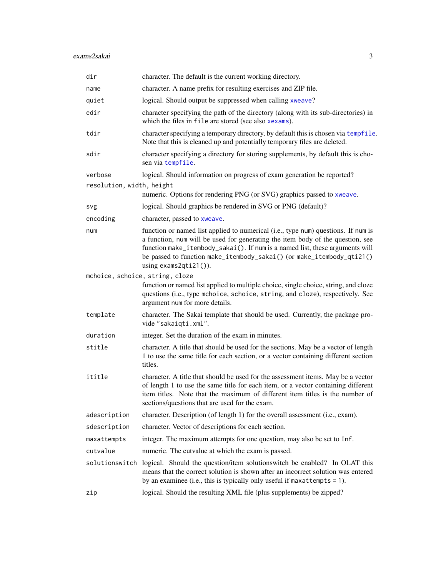<span id="page-2-0"></span>

| dir                             | character. The default is the current working directory.                                                                                                                                                                                                                                                                                                 |
|---------------------------------|----------------------------------------------------------------------------------------------------------------------------------------------------------------------------------------------------------------------------------------------------------------------------------------------------------------------------------------------------------|
| name                            | character. A name prefix for resulting exercises and ZIP file.                                                                                                                                                                                                                                                                                           |
| quiet                           | logical. Should output be suppressed when calling xweave?                                                                                                                                                                                                                                                                                                |
| edir                            | character specifying the path of the directory (along with its sub-directories) in<br>which the files in file are stored (see also xexams).                                                                                                                                                                                                              |
| tdir                            | character specifying a temporary directory, by default this is chosen via tempfile.<br>Note that this is cleaned up and potentially temporary files are deleted.                                                                                                                                                                                         |
| sdir                            | character specifying a directory for storing supplements, by default this is cho-<br>sen via tempfile.                                                                                                                                                                                                                                                   |
| verbose                         | logical. Should information on progress of exam generation be reported?                                                                                                                                                                                                                                                                                  |
| resolution, width, height       |                                                                                                                                                                                                                                                                                                                                                          |
|                                 | numeric. Options for rendering PNG (or SVG) graphics passed to xweave.                                                                                                                                                                                                                                                                                   |
| svg                             | logical. Should graphics be rendered in SVG or PNG (default)?                                                                                                                                                                                                                                                                                            |
| encoding                        | character, passed to xweave.                                                                                                                                                                                                                                                                                                                             |
| num                             | function or named list applied to numerical (i.e., type num) questions. If num is<br>a function, num will be used for generating the item body of the question, see<br>function make_itembody_sakai(). If num is a named list, these arguments will<br>be passed to function make_itembody_sakai() (or make_itembody_qti21()<br>using $exams2qti21()$ ). |
| mchoice, schoice, string, cloze |                                                                                                                                                                                                                                                                                                                                                          |
|                                 | function or named list applied to multiple choice, single choice, string, and cloze<br>questions (i.e., type mchoice, schoice, string, and cloze), respectively. See<br>argument num for more details.                                                                                                                                                   |
| template                        | character. The Sakai template that should be used. Currently, the package pro-<br>vide "sakaiqti.xml".                                                                                                                                                                                                                                                   |
| duration                        | integer. Set the duration of the exam in minutes.                                                                                                                                                                                                                                                                                                        |
| stitle                          | character. A title that should be used for the sections. May be a vector of length<br>1 to use the same title for each section, or a vector containing different section<br>titles.                                                                                                                                                                      |
| ititle                          | character. A title that should be used for the assessment items. May be a vector<br>of length 1 to use the same title for each item, or a vector containing different<br>item titles. Note that the maximum of different item titles is the number of<br>sections/questions that are used for the exam.                                                  |
| adescription                    | character. Description (of length 1) for the overall assessment (i.e., exam).                                                                                                                                                                                                                                                                            |
| sdescription                    | character. Vector of descriptions for each section.                                                                                                                                                                                                                                                                                                      |
| maxattempts                     | integer. The maximum attempts for one question, may also be set to Inf.                                                                                                                                                                                                                                                                                  |
| cutvalue                        | numeric. The cutvalue at which the exam is passed.                                                                                                                                                                                                                                                                                                       |
|                                 | solutionswitch logical. Should the question/item solutionswitch be enabled? In OLAT this<br>means that the correct solution is shown after an incorrect solution was entered<br>by an examinee (i.e., this is typically only useful if maxattempts $= 1$ ).                                                                                              |
| zip                             | logical. Should the resulting XML file (plus supplements) be zipped?                                                                                                                                                                                                                                                                                     |
|                                 |                                                                                                                                                                                                                                                                                                                                                          |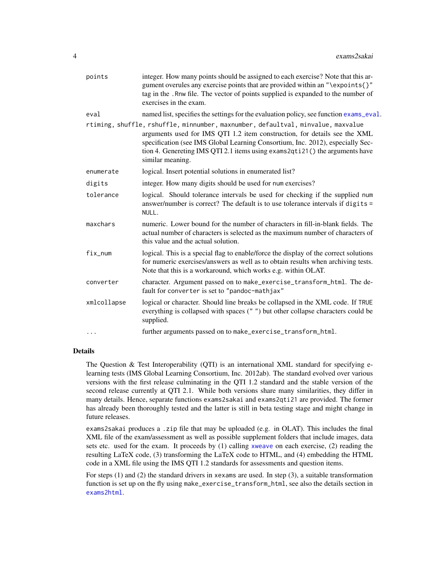<span id="page-3-0"></span>

| points      | integer. How many points should be assigned to each exercise? Note that this ar-<br>gument overules any exercise points that are provided within an "\expoints{}"<br>tag in the . Rnw file. The vector of points supplied is expanded to the number of<br>exercises in the exam.                                                                   |
|-------------|----------------------------------------------------------------------------------------------------------------------------------------------------------------------------------------------------------------------------------------------------------------------------------------------------------------------------------------------------|
| eval        | named list, specifies the settings for the evaluation policy, see function exams_eval.                                                                                                                                                                                                                                                             |
|             | rtiming, shuffle, rshuffle, minnumber, maxnumber, defaultval, minvalue, maxvalue<br>arguments used for IMS QTI 1.2 item construction, for details see the XML<br>specification (see IMS Global Learning Consortium, Inc. 2012), especially Sec-<br>tion 4. Genereting IMS QTI 2.1 items using exams2qti21() the arguments have<br>similar meaning. |
| enumerate   | logical. Insert potential solutions in enumerated list?                                                                                                                                                                                                                                                                                            |
| digits      | integer. How many digits should be used for num exercises?                                                                                                                                                                                                                                                                                         |
| tolerance   | logical. Should tolerance intervals be used for checking if the supplied num<br>answer/number is correct? The default is to use tolerance intervals if digits =<br>NULL.                                                                                                                                                                           |
| maxchars    | numeric. Lower bound for the number of characters in fill-in-blank fields. The<br>actual number of characters is selected as the maximum number of characters of<br>this value and the actual solution.                                                                                                                                            |
| fix_num     | logical. This is a special flag to enable/force the display of the correct solutions<br>for numeric exercises/answers as well as to obtain results when archiving tests.<br>Note that this is a workaround, which works e.g. within OLAT.                                                                                                          |
| converter   | character. Argument passed on to make_exercise_transform_html. The de-<br>fault for converter is set to "pandoc-mathjax"                                                                                                                                                                                                                           |
| xmlcollapse | logical or character. Should line breaks be collapsed in the XML code. If TRUE<br>everything is collapsed with spaces ("") but other collapse characters could be<br>supplied.                                                                                                                                                                     |
| $\cdots$    | further arguments passed on to make_exercise_transform_html.                                                                                                                                                                                                                                                                                       |

#### Details

The Question & Test Interoperability (QTI) is an international XML standard for specifying elearning tests (IMS Global Learning Consortium, Inc. 2012ab). The standard evolved over various versions with the first release culminating in the QTI 1.2 standard and the stable version of the second release currently at QTI 2.1. While both versions share many similarities, they differ in many details. Hence, separate functions exams2sakai and exams2qti21 are provided. The former has already been thoroughly tested and the latter is still in beta testing stage and might change in future releases.

exams2sakai produces a .zip file that may be uploaded (e.g. in OLAT). This includes the final XML file of the exam/assessment as well as possible supplement folders that include images, data sets etc. used for the exam. It proceeds by (1) calling [xweave](#page-0-0) on each exercise, (2) reading the resulting LaTeX code, (3) transforming the LaTeX code to HTML, and (4) embedding the HTML code in a XML file using the IMS QTI 1.2 standards for assessments and question items.

For steps (1) and (2) the standard drivers in xexams are used. In step (3), a suitable transformation function is set up on the fly using make\_exercise\_transform\_html, see also the details section in [exams2html](#page-0-0).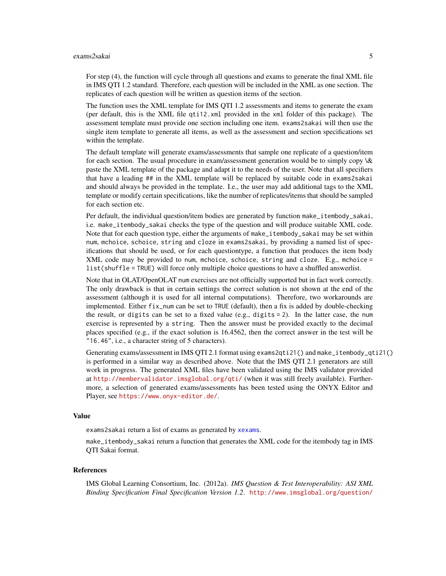#### <span id="page-4-0"></span>exams2sakai 5

For step (4), the function will cycle through all questions and exams to generate the final XML file in IMS QTI 1.2 standard. Therefore, each question will be included in the XML as one section. The replicates of each question will be written as question items of the section.

The function uses the XML template for IMS QTI 1.2 assessments and items to generate the exam (per default, this is the XML file qti12.xml provided in the xml folder of this package). The assessment template must provide one section including one item. exams2sakai will then use the single item template to generate all items, as well as the assessment and section specifications set within the template.

The default template will generate exams/assessments that sample one replicate of a question/item for each section. The usual procedure in exam/assessment generation would be to simply copy  $\&$ paste the XML template of the package and adapt it to the needs of the user. Note that all specifiers that have a leading ## in the XML template will be replaced by suitable code in exams2sakai and should always be provided in the template. I.e., the user may add additional tags to the XML template or modify certain specifications, like the number of replicates/items that should be sampled for each section etc.

Per default, the individual question/item bodies are generated by function make\_itembody\_sakai, i.e. make\_itembody\_sakai checks the type of the question and will produce suitable XML code. Note that for each question type, either the arguments of make\_itembody\_sakai may be set within num, mchoice, schoice, string and cloze in exams2sakai, by providing a named list of specifications that should be used, or for each questiontype, a function that produces the item body XML code may be provided to num, mchoice, schoice, string and cloze. E.g., mchoice = list(shuffle = TRUE) will force only multiple choice questions to have a shuffled answerlist.

Note that in OLAT/OpenOLAT num exercises are not officially supported but in fact work correctly. The only drawback is that in certain settings the correct solution is not shown at the end of the assessment (although it is used for all internal computations). Therefore, two workarounds are implemented. Either fix\_num can be set to TRUE (default), then a fix is added by double-checking the result, or digits can be set to a fixed value (e.g., digits  $= 2$ ). In the latter case, the num exercise is represented by a string. Then the answer must be provided exactly to the decimal places specified (e.g., if the exact solution is 16.4562, then the correct answer in the test will be "16.46", i.e., a character string of 5 characters).

Generating exams/assessment in IMS QTI 2.1 format using exams2qti21() and make\_itembody\_qti21() is performed in a similar way as described above. Note that the IMS QTI 2.1 generators are still work in progress. The generated XML files have been validated using the IMS validator provided at <http://membervalidator.imsglobal.org/qti/> (when it was still freely available). Furthermore, a selection of generated exams/assessments has been tested using the ONYX Editor and Player, see <https://www.onyx-editor.de/>.

#### Value

exams2sakai return a list of exams as generated by [xexams](#page-0-0).

make\_itembody\_sakai return a function that generates the XML code for the itembody tag in IMS QTI Sakai format.

#### References

IMS Global Learning Consortium, Inc. (2012a). *IMS Question & Test Interoperability: ASI XML Binding Specification Final Specification Version 1.2*. [http://www.imsglobal.org/question/](http://www.imsglobal.org/question/qtiv1p2/imsqti_asi_bindv1p2.html)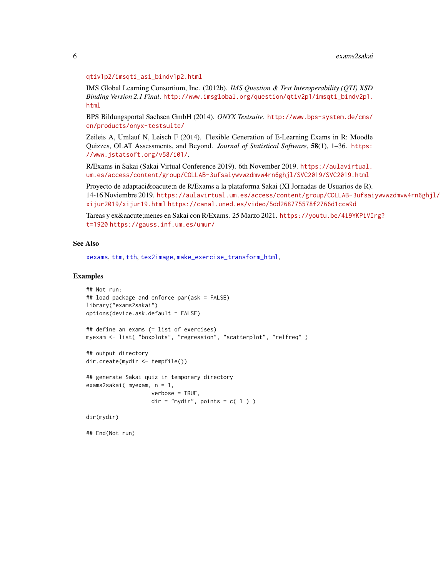#### <span id="page-5-0"></span>[qtiv1p2/imsqti\\_asi\\_bindv1p2.html](http://www.imsglobal.org/question/qtiv1p2/imsqti_asi_bindv1p2.html)

IMS Global Learning Consortium, Inc. (2012b). *IMS Question & Test Interoperability (QTI) XSD Binding Version 2.1 Final*. [http://www.imsglobal.org/question/qtiv2p1/imsqti\\_bindv2p1.](http://www.imsglobal.org/question/qtiv2p1/imsqti_bindv2p1.html) [html](http://www.imsglobal.org/question/qtiv2p1/imsqti_bindv2p1.html)

BPS Bildungsportal Sachsen GmbH (2014). *ONYX Testsuite*. [http://www.bps-system.de/cms/](http://www.bps-system.de/cms/en/products/onyx-testsuite/) [en/products/onyx-testsuite/](http://www.bps-system.de/cms/en/products/onyx-testsuite/)

Zeileis A, Umlauf N, Leisch F (2014). Flexible Generation of E-Learning Exams in R: Moodle Quizzes, OLAT Assessments, and Beyond. *Journal of Statistical Software*, 58(1), 1–36. [https:](https://www.jstatsoft.org/v58/i01/) [//www.jstatsoft.org/v58/i01/](https://www.jstatsoft.org/v58/i01/).

R/Exams in Sakai (Sakai Virtual Conference 2019). 6th November 2019. [https://aulavirtual.](https://aulavirtual.um.es/access/content/group/COLLAB-3ufsaiywvwzdmvw4rn6ghjl/SVC2019/SVC2019.html) [um.es/access/content/group/COLLAB-3ufsaiywvwzdmvw4rn6ghjl/SVC2019/SVC2019.html](https://aulavirtual.um.es/access/content/group/COLLAB-3ufsaiywvwzdmvw4rn6ghjl/SVC2019/SVC2019.html)

Proyecto de adaptación de R/Exams a la plataforma Sakai (XI Jornadas de Usuarios de R). 14-16 Noviembre 2019. [https://aulavirtual.um.es/access/content/group/COLLAB-3ufsai](https://aulavirtual.um.es/access/content/group/COLLAB-3ufsaiywvwzdmvw4rn6ghjl/xijur2019/xijur19.html)ywvwzdmvw4rn6ghjl/ [xijur2019/xijur19.html](https://aulavirtual.um.es/access/content/group/COLLAB-3ufsaiywvwzdmvw4rn6ghjl/xijur2019/xijur19.html) <https://canal.uned.es/video/5dd268775578f2766d1cca9d>

```
https://youtu.be/4i9YKPiVIrg?
t=1920 https://gauss.inf.um.es/umur/
```
#### See Also

[xexams](#page-0-0), [ttm](#page-0-0), [tth](#page-0-0), [tex2image](#page-0-0), [make\\_exercise\\_transform\\_html](#page-0-0),

#### Examples

```
## Not run:
## load package and enforce par(ask = FALSE)
library("exams2sakai")
options(device.ask.default = FALSE)
## define an exams (= list of exercises)
myexam <- list( "boxplots", "regression", "scatterplot", "relfreq" )
## output directory
dir.create(mydir <- tempfile())
## generate Sakai quiz in temporary directory
exams2sakai( myexam, n = 1,
                   verbose = TRUE,
                   dir = "mydir", points = c(1))dir(mydir)
```
## End(Not run)